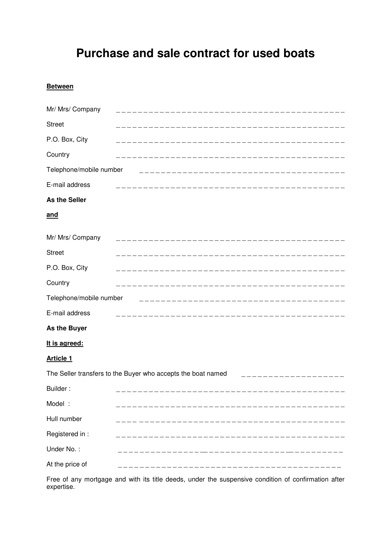# **Purchase and sale contract for used boats**

# **Between**

| Mr/ Mrs/ Company                                             |              |
|--------------------------------------------------------------|--------------|
| <b>Street</b>                                                |              |
| P.O. Box, City                                               |              |
| Country                                                      |              |
| Telephone/mobile number                                      |              |
| E-mail address                                               |              |
| As the Seller                                                |              |
| <u>and</u>                                                   |              |
| Mr/ Mrs/ Company                                             |              |
| <b>Street</b>                                                |              |
| P.O. Box, City                                               |              |
| Country                                                      |              |
| Telephone/mobile number<br>___________________________       |              |
| E-mail address                                               | ____________ |
| As the Buyer                                                 |              |
| It is agreed:                                                |              |
| <b>Article 1</b>                                             |              |
| The Seller transfers to the Buyer who accepts the boat named |              |
| Builder:                                                     |              |
| Model:                                                       |              |
| Hull number                                                  |              |
| Registered in :                                              |              |
| Under No.:                                                   |              |
| At the price of                                              |              |

Free of any mortgage and with its title deeds, under the suspensive condition of confirmation after expertise.